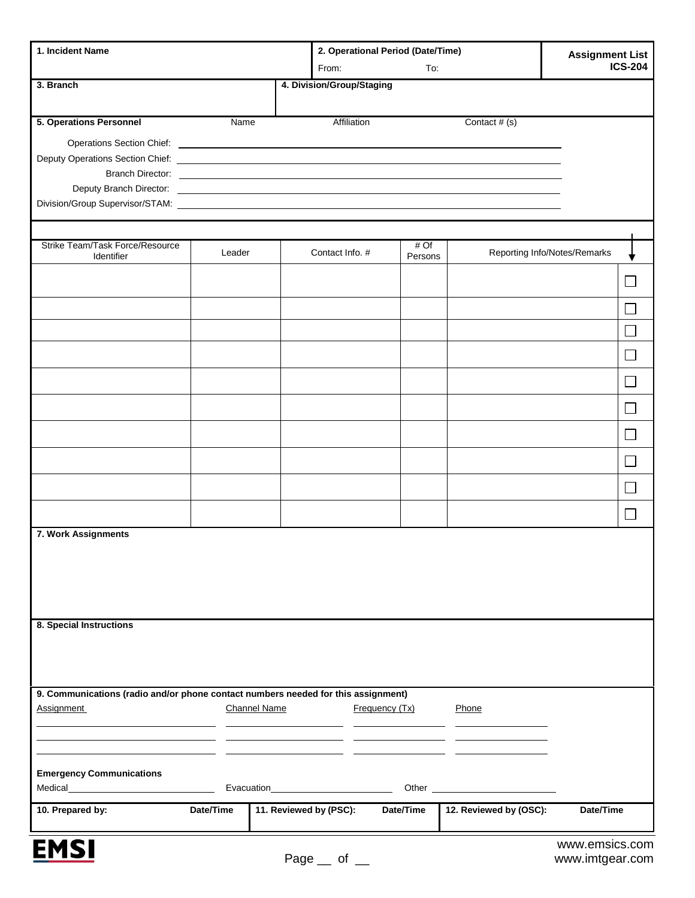| 1. Incident Name                                                                                                |                     |                                        | 2. Operational Period (Date/Time) |                 |                        |                              | <b>Assignment List</b> |  |
|-----------------------------------------------------------------------------------------------------------------|---------------------|----------------------------------------|-----------------------------------|-----------------|------------------------|------------------------------|------------------------|--|
|                                                                                                                 |                     |                                        | From:                             | To:             |                        |                              | <b>ICS-204</b>         |  |
| 3. Branch                                                                                                       |                     |                                        | 4. Division/Group/Staging         |                 |                        |                              |                        |  |
|                                                                                                                 |                     |                                        |                                   |                 |                        |                              |                        |  |
| 5. Operations Personnel                                                                                         | Name                |                                        | Affiliation                       |                 | Contact # (s)          |                              |                        |  |
|                                                                                                                 |                     |                                        |                                   |                 |                        |                              |                        |  |
| Deputy Operations Section Chief: New York Chief Section 2014 12:00:00 Person 2014 12:00:00 Person 2014 12:00:00 |                     |                                        |                                   |                 |                        |                              |                        |  |
|                                                                                                                 |                     |                                        |                                   |                 |                        |                              |                        |  |
|                                                                                                                 |                     |                                        |                                   |                 |                        |                              |                        |  |
|                                                                                                                 |                     |                                        |                                   |                 |                        |                              |                        |  |
|                                                                                                                 |                     |                                        |                                   |                 |                        |                              |                        |  |
| Strike Team/Task Force/Resource<br>Identifier                                                                   | Leader              |                                        | Contact Info. #                   | # Of<br>Persons |                        | Reporting Info/Notes/Remarks |                        |  |
|                                                                                                                 |                     |                                        |                                   |                 |                        |                              |                        |  |
|                                                                                                                 |                     |                                        |                                   |                 |                        |                              |                        |  |
|                                                                                                                 |                     |                                        |                                   |                 |                        |                              |                        |  |
|                                                                                                                 |                     |                                        |                                   |                 |                        |                              |                        |  |
|                                                                                                                 |                     |                                        |                                   |                 |                        |                              |                        |  |
|                                                                                                                 |                     |                                        |                                   |                 |                        |                              | L.                     |  |
|                                                                                                                 |                     |                                        |                                   |                 |                        |                              |                        |  |
|                                                                                                                 |                     |                                        |                                   |                 |                        |                              |                        |  |
|                                                                                                                 |                     |                                        |                                   |                 |                        |                              |                        |  |
|                                                                                                                 |                     |                                        |                                   |                 |                        |                              |                        |  |
| 7. Work Assignments                                                                                             |                     |                                        |                                   |                 |                        |                              |                        |  |
|                                                                                                                 |                     |                                        |                                   |                 |                        |                              |                        |  |
|                                                                                                                 |                     |                                        |                                   |                 |                        |                              |                        |  |
|                                                                                                                 |                     |                                        |                                   |                 |                        |                              |                        |  |
|                                                                                                                 |                     |                                        |                                   |                 |                        |                              |                        |  |
| 8. Special Instructions                                                                                         |                     |                                        |                                   |                 |                        |                              |                        |  |
|                                                                                                                 |                     |                                        |                                   |                 |                        |                              |                        |  |
|                                                                                                                 |                     |                                        |                                   |                 |                        |                              |                        |  |
|                                                                                                                 |                     |                                        |                                   |                 |                        |                              |                        |  |
| 9. Communications (radio and/or phone contact numbers needed for this assignment)                               |                     |                                        |                                   |                 |                        |                              |                        |  |
| <b>Assignment</b>                                                                                               | <b>Channel Name</b> |                                        |                                   | Frequency (Tx)  | Phone                  |                              |                        |  |
|                                                                                                                 |                     |                                        |                                   |                 |                        |                              |                        |  |
|                                                                                                                 |                     |                                        |                                   |                 |                        |                              |                        |  |
| <b>Emergency Communications</b>                                                                                 |                     |                                        |                                   |                 |                        |                              |                        |  |
|                                                                                                                 |                     | Evacuation____________________________ |                                   |                 |                        |                              |                        |  |
| 10. Prepared by:                                                                                                | Date/Time           | 11. Reviewed by (PSC):                 |                                   | Date/Time       | 12. Reviewed by (OSC): | Date/Time                    |                        |  |
|                                                                                                                 |                     |                                        |                                   |                 |                        |                              |                        |  |

<u>EMSI</u>